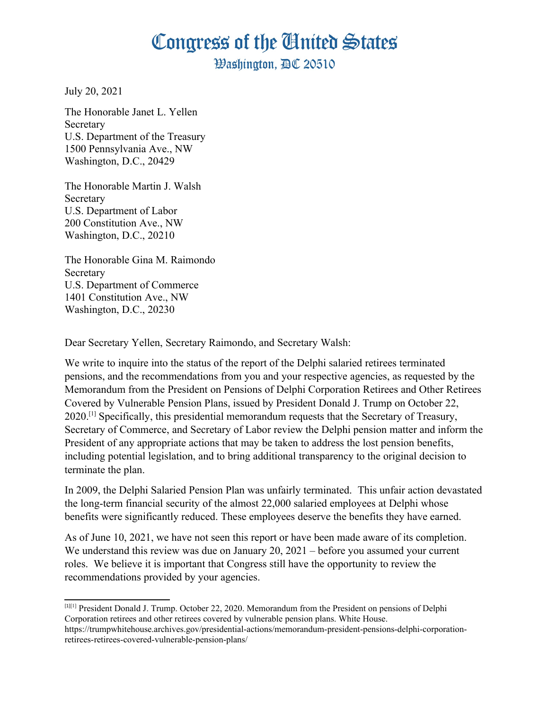## Congress of the Ginited States

**Washington. AC 20510** 

July 20, 2021

The Honorable Janet L. Yellen **Secretary** U.S. Department of the Treasury 1500 Pennsylvania Ave., NW Washington, D.C., 20429

The Honorable Martin J. Walsh **Secretary** U.S. Department of Labor 200 Constitution Ave., NW Washington, D.C., 20210

The Honorable Gina M. Raimondo **Secretary** U.S. Department of Commerce 1401 Constitution Ave., NW Washington, D.C., 20230

Dear Secretary Yellen, Secretary Raimondo, and Secretary Walsh:

We write to inquire into the status of the report of the Delphi salaried retirees terminated pensions, and the recommendations from you and your respective agencies, as requested by the Memorandum from the President on Pensions of Delphi Corporation Retirees and Other Retirees Covered by Vulnerable Pension Plans, issued by President Donald J. Trump on October 22, 2020.[\[1\]](#page-0-0) Specifically, this presidential memorandum requests that the Secretary of Treasury, Secretary of Commerce, and Secretary of Labor review the Delphi pension matter and inform the President of any appropriate actions that may be taken to address the lost pension benefits, including potential legislation, and to bring additional transparency to the original decision to terminate the plan.

In 2009, the Delphi Salaried Pension Plan was unfairly terminated. This unfair action devastated the long-term financial security of the almost 22,000 salaried employees at Delphi whose benefits were significantly reduced. These employees deserve the benefits they have earned.

As of June 10, 2021, we have not seen this report or have been made aware of its completion. We understand this review was due on January 20, 2021 – before you assumed your current roles. We believe it is important that Congress still have the opportunity to review the recommendations provided by your agencies.

<span id="page-0-0"></span><sup>[1]</sup>[1] President Donald J. Trump. October 22, 2020. Memorandum from the President on pensions of Delphi Corporation retirees and other retirees covered by vulnerable pension plans. White House. https://trumpwhitehouse.archives.gov/presidential-actions/memorandum-president-pensions-delphi-corporationretirees-retirees-covered-vulnerable-pension-plans/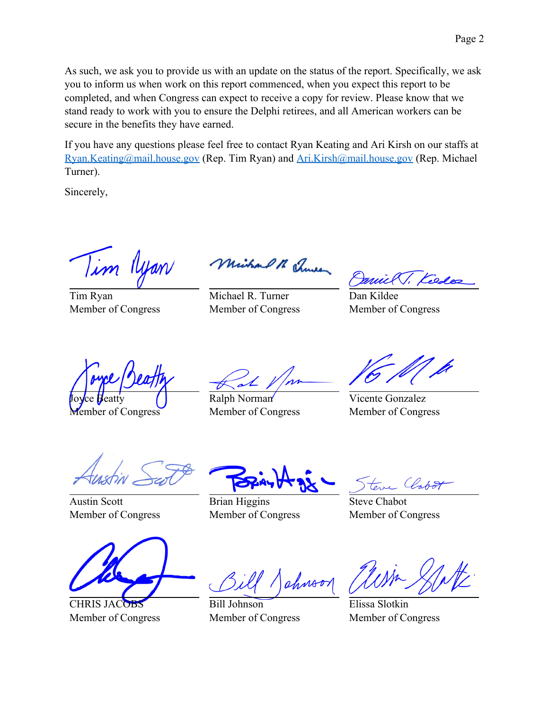As such, we ask you to provide us with an update on the status of the report. Specifically, we ask you to inform us when work on this report commenced, when you expect this report to be completed, and when Congress can expect to receive a copy for review. Please know that we stand ready to work with you to ensure the Delphi retirees, and all American workers can be secure in the benefits they have earned.

If you have any questions please feel free to contact Ryan Keating and Ari Kirsh on our staffs at [Ryan.Keating@mail.house.gov](mailto:Ryan.Keating@mail.house.gov) (Rep. Tim Ryan) and [Ari.Kirsh@mail.house.gov](mailto:Ari.Kirsh@mail.house.gov) (Rep. Michael Turner).

Sincerely,

Tim Ilyan

Tim Ryan Member of Congress

Without M Thursday

Michael R. Turner Member of Congress

Dan Kildee Member of Congress

Joyce Beatty Member of Congress

Ralph Norman Member of Congress

Vicente Gonzalez Member of Congress

Austin Scott Member of Congress



**CHRIS JAC** Member of Congress

Brian Higgins Member of Congress

Labo

Steve Chabot Member of Congress

chnoo

Bill Johnson Member of Congress

Elissa Slotkin Member of Congress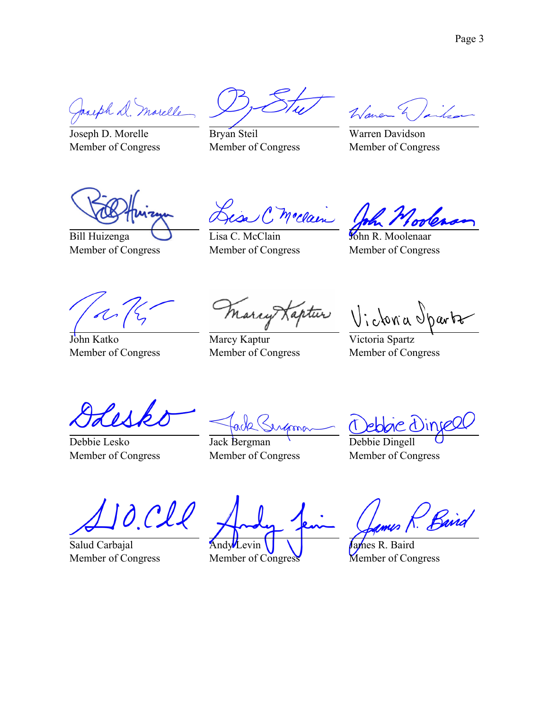Jacoph D. Marelle

Joseph D. Morelle Member of Congress

Bryan Steil Member of Congress

War

Warren Davidson Member of Congress

Bill Huizenga Member of Congress

in C moclain

Lisa C. McClain Member of Congress

John R. Moolenaar Member of Congress

John Katko Member of Congress

Marcy Kaptur Member of Congress

Marcy Kaptur Victoria Sparts

Victoria Spartz Member of Congress

Debbie Lesko Member of Congress

ade( enfronc

Jack Bergman Member of Congress

re dinse

Debbie Dingell Member of Congress

O CII

Salud Carbajal Member of Congress

Andy

Member of Congress

Baird

James R. Baird Member of Congress